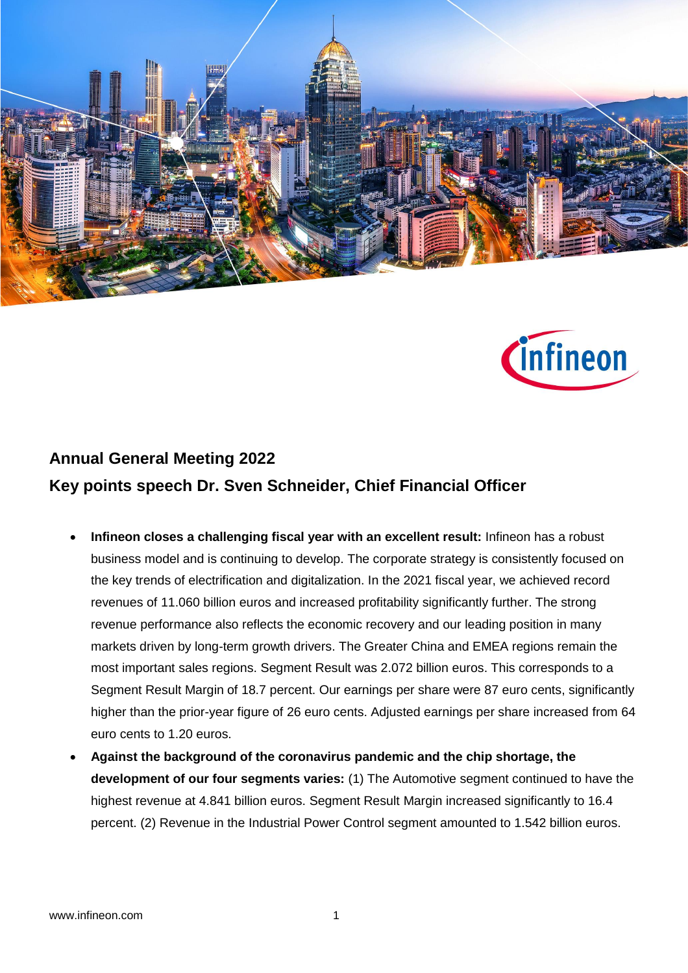



## **Annual General Meeting 2022 Key points speech Dr. Sven Schneider, Chief Financial Officer**

- **Infineon closes a challenging fiscal year with an excellent result:** Infineon has a robust business model and is continuing to develop. The corporate strategy is consistently focused on the key trends of electrification and digitalization. In the 2021 fiscal year, we achieved record revenues of 11.060 billion euros and increased profitability significantly further. The strong revenue performance also reflects the economic recovery and our leading position in many markets driven by long-term growth drivers. The Greater China and EMEA regions remain the most important sales regions. Segment Result was 2.072 billion euros. This corresponds to a Segment Result Margin of 18.7 percent. Our earnings per share were 87 euro cents, significantly higher than the prior-year figure of 26 euro cents. Adjusted earnings per share increased from 64 euro cents to 1.20 euros.
- **Against the background of the coronavirus pandemic and the chip shortage, the development of our four segments varies:** (1) The Automotive segment continued to have the highest revenue at 4.841 billion euros. Segment Result Margin increased significantly to 16.4 percent. (2) Revenue in the Industrial Power Control segment amounted to 1.542 billion euros.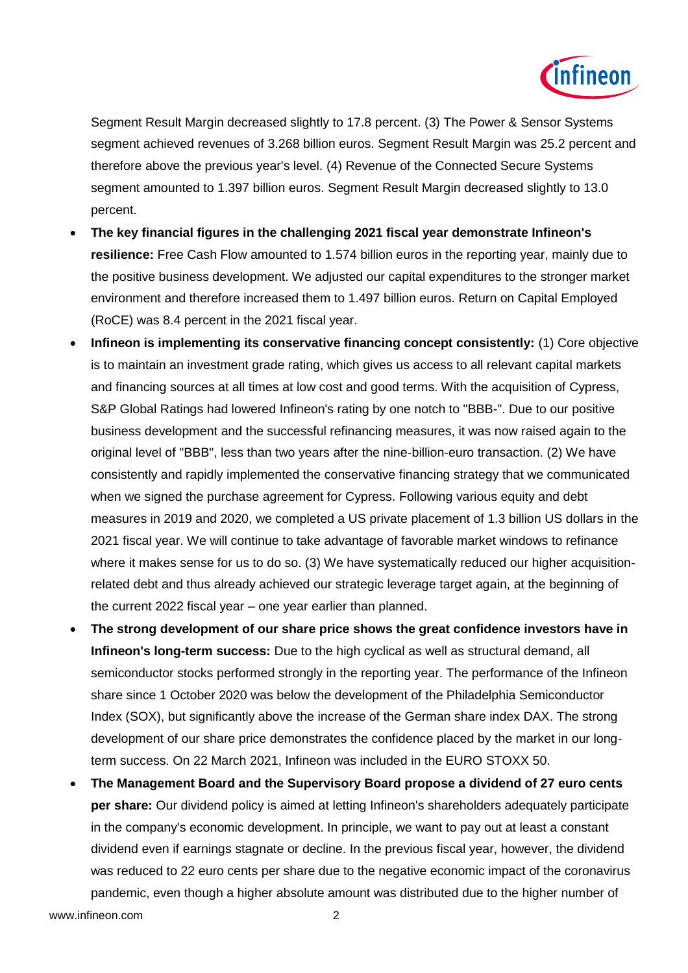

Segment Result Margin decreased slightly to 17.8 percent. (3) The Power & Sensor Systems segment achieved revenues of 3.268 billion euros. Segment Result Margin was 25.2 percent and therefore above the previous year's level. (4) Revenue of the Connected Secure Systems segment amounted to 1.397 billion euros. Segment Result Margin decreased slightly to 13.0 percent.

- **The key financial figures in the challenging 2021 fiscal year demonstrate Infineon's resilience:** Free Cash Flow amounted to 1.574 billion euros in the reporting year, mainly due to the positive business development. We adjusted our capital expenditures to the stronger market environment and therefore increased them to 1.497 billion euros. Return on Capital Employed (RoCE) was 8.4 percent in the 2021 fiscal year.
- **Infineon is implementing its conservative financing concept consistently:** (1) Core objective is to maintain an investment grade rating, which gives us access to all relevant capital markets and financing sources at all times at low cost and good terms. With the acquisition of Cypress, S&P Global Ratings had lowered Infineon's rating by one notch to "BBB-". Due to our positive business development and the successful refinancing measures, it was now raised again to the original level of "BBB", less than two years after the nine-billion-euro transaction. (2) We have consistently and rapidly implemented the conservative financing strategy that we communicated when we signed the purchase agreement for Cypress. Following various equity and debt measures in 2019 and 2020, we completed a US private placement of 1.3 billion US dollars in the 2021 fiscal year. We will continue to take advantage of favorable market windows to refinance where it makes sense for us to do so. (3) We have systematically reduced our higher acquisitionrelated debt and thus already achieved our strategic leverage target again, at the beginning of the current 2022 fiscal year – one year earlier than planned.
- **The strong development of our share price shows the great confidence investors have in Infineon's long-term success:** Due to the high cyclical as well as structural demand, all semiconductor stocks performed strongly in the reporting year. The performance of the Infineon share since 1 October 2020 was below the development of the Philadelphia Semiconductor Index (SOX), but significantly above the increase of the German share index DAX. The strong development of our share price demonstrates the confidence placed by the market in our longterm success. On 22 March 2021, Infineon was included in the EURO STOXX 50.
- **The Management Board and the Supervisory Board propose a dividend of 27 euro cents per share:** Our dividend policy is aimed at letting Infineon's shareholders adequately participate in the company's economic development. In principle, we want to pay out at least a constant dividend even if earnings stagnate or decline. In the previous fiscal year, however, the dividend was reduced to 22 euro cents per share due to the negative economic impact of the coronavirus pandemic, even though a higher absolute amount was distributed due to the higher number of